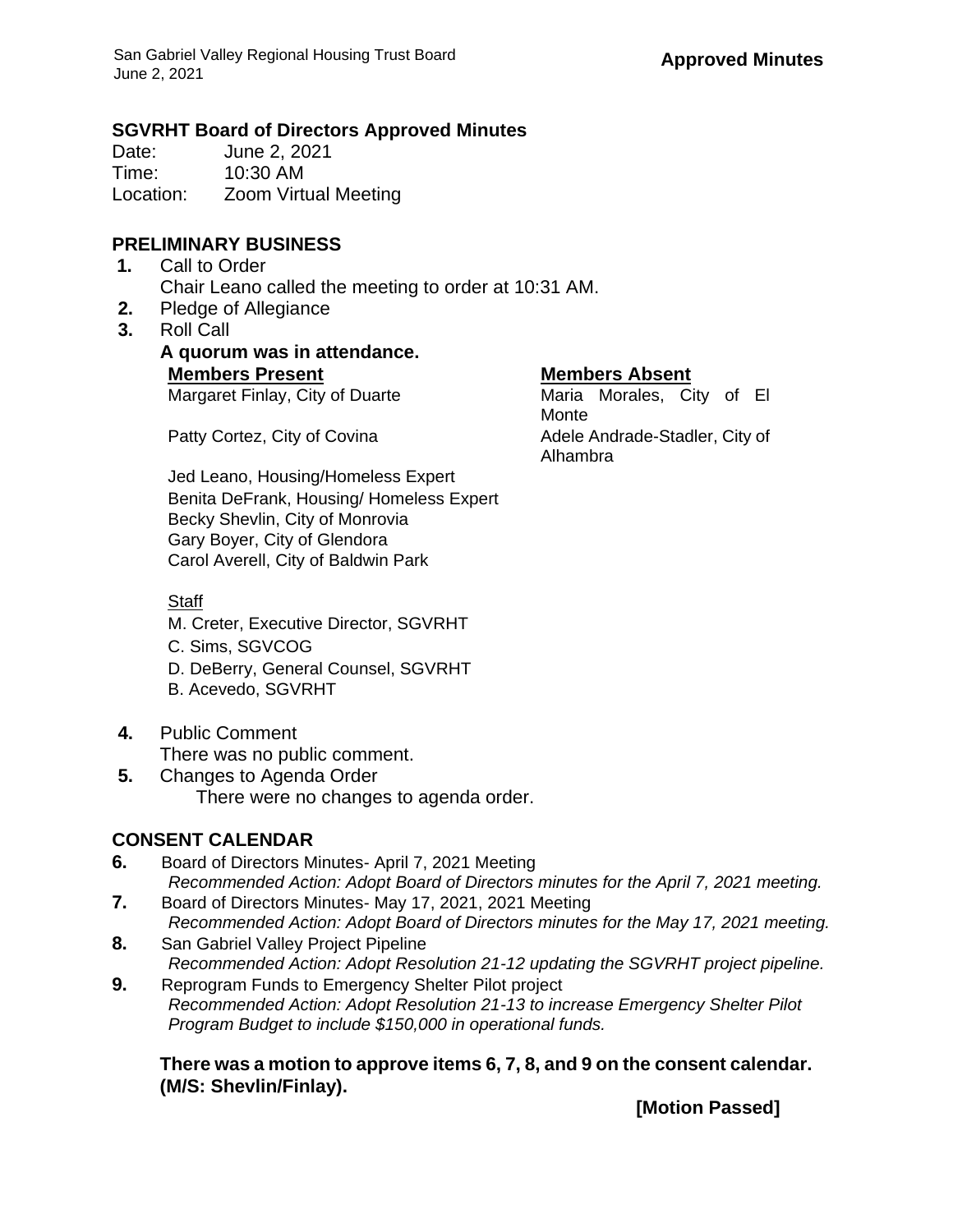## **SGVRHT Board of Directors Approved Minutes**

Date: June 2, 2021 Time: 10:30 AM Location: Zoom Virtual Meeting

## **PRELIMINARY BUSINESS**

- **1.** Call to Order Chair Leano called the meeting to order at 10:31 AM.
- **2.** Pledge of Allegiance
- **3.** Roll Call

**A quorum was in attendance. Members Present Members Absent**

Margaret Finlay, City of Duarte Maria Morales, City of El

Monte Patty Cortez, City of Covina Adele Andrade-Stadler, City of Alhambra

Jed Leano, Housing/Homeless Expert Benita DeFrank, Housing/ Homeless Expert Becky Shevlin, City of Monrovia Gary Boyer, City of Glendora Carol Averell, City of Baldwin Park

## **Staff**

- M. Creter, Executive Director, SGVRHT
- C. Sims, SGVCOG
- D. DeBerry, General Counsel, SGVRHT
- B. Acevedo, SGVRHT
- **4.** Public Comment There was no public comment.
- **5.** Changes to Agenda Order There were no changes to agenda order.

# **CONSENT CALENDAR**

- **6.** Board of Directors Minutes- April 7, 2021 Meeting *Recommended Action: Adopt Board of Directors minutes for the April 7, 2021 meeting.*
- **7.** Board of Directors Minutes- May 17, 2021, 2021 Meeting *Recommended Action: Adopt Board of Directors minutes for the May 17, 2021 meeting.*
- **8.** San Gabriel Valley Project Pipeline *Recommended Action: Adopt Resolution 21-12 updating the SGVRHT project pipeline.*
- **9.** Reprogram Funds to Emergency Shelter Pilot project *Recommended Action: Adopt Resolution 21-13 to increase Emergency Shelter Pilot Program Budget to include \$150,000 in operational funds.*

**There was a motion to approve items 6, 7, 8, and 9 on the consent calendar. (M/S: Shevlin/Finlay).**

**[Motion Passed]**